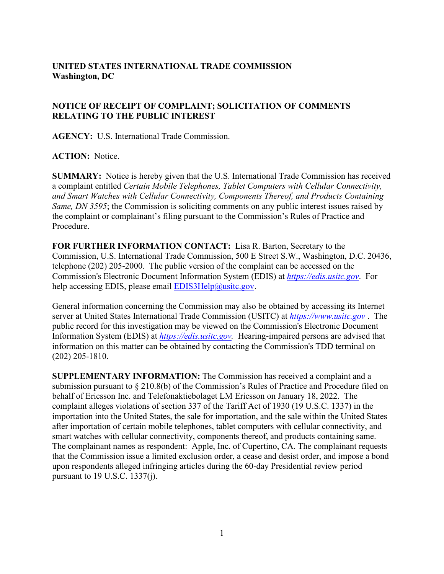## **UNITED STATES INTERNATIONAL TRADE COMMISSION Washington, DC**

## **NOTICE OF RECEIPT OF COMPLAINT; SOLICITATION OF COMMENTS RELATING TO THE PUBLIC INTEREST**

**AGENCY:** U.S. International Trade Commission.

**ACTION:** Notice.

**SUMMARY:** Notice is hereby given that the U.S. International Trade Commission has received a complaint entitled *Certain Mobile Telephones, Tablet Computers with Cellular Connectivity, and Smart Watches with Cellular Connectivity, Components Thereof, and Products Containing Same, DN 3595*; the Commission is soliciting comments on any public interest issues raised by the complaint or complainant's filing pursuant to the Commission's Rules of Practice and Procedure.

**FOR FURTHER INFORMATION CONTACT:** Lisa R. Barton, Secretary to the Commission, U.S. International Trade Commission, 500 E Street S.W., Washington, D.C. 20436, telephone (202) 205-2000. The public version of the complaint can be accessed on the Commission's Electronic Document Information System (EDIS) at *[https://edis.usitc.gov](https://edis.usitc.gov/)*. For help accessing EDIS, please email  $EDIS3Help@usite.gov$ .

General information concerning the Commission may also be obtained by accessing its Internet server at United States International Trade Commission (USITC) at *[https://www.usitc.gov](https://www.usitc.gov/)* . The public record for this investigation may be viewed on the Commission's Electronic Document Information System (EDIS) at *[https://edis.usitc.gov.](https://edis.usitc.gov/)* Hearing-impaired persons are advised that information on this matter can be obtained by contacting the Commission's TDD terminal on (202) 205-1810.

**SUPPLEMENTARY INFORMATION:** The Commission has received a complaint and a submission pursuant to § 210.8(b) of the Commission's Rules of Practice and Procedure filed on behalf of Ericsson Inc. and Telefonaktiebolaget LM Ericsson on January 18, 2022. The complaint alleges violations of section 337 of the Tariff Act of 1930 (19 U.S.C. 1337) in the importation into the United States, the sale for importation, and the sale within the United States after importation of certain mobile telephones, tablet computers with cellular connectivity, and smart watches with cellular connectivity, components thereof, and products containing same. The complainant names as respondent: Apple, Inc. of Cupertino, CA. The complainant requests that the Commission issue a limited exclusion order, a cease and desist order, and impose a bond upon respondents alleged infringing articles during the 60-day Presidential review period pursuant to 19 U.S.C. 1337(j).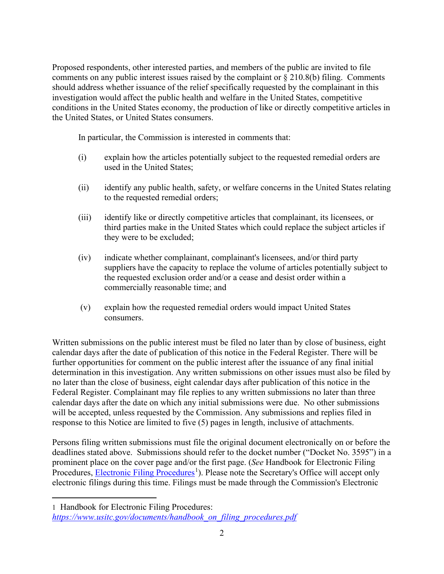Proposed respondents, other interested parties, and members of the public are invited to file comments on any public interest issues raised by the complaint or § 210.8(b) filing. Comments should address whether issuance of the relief specifically requested by the complainant in this investigation would affect the public health and welfare in the United States, competitive conditions in the United States economy, the production of like or directly competitive articles in the United States, or United States consumers.

In particular, the Commission is interested in comments that:

- (i) explain how the articles potentially subject to the requested remedial orders are used in the United States;
- (ii) identify any public health, safety, or welfare concerns in the United States relating to the requested remedial orders;
- (iii) identify like or directly competitive articles that complainant, its licensees, or third parties make in the United States which could replace the subject articles if they were to be excluded;
- (iv) indicate whether complainant, complainant's licensees, and/or third party suppliers have the capacity to replace the volume of articles potentially subject to the requested exclusion order and/or a cease and desist order within a commercially reasonable time; and
- (v) explain how the requested remedial orders would impact United States consumers.

Written submissions on the public interest must be filed no later than by close of business, eight calendar days after the date of publication of this notice in the Federal Register. There will be further opportunities for comment on the public interest after the issuance of any final initial determination in this investigation. Any written submissions on other issues must also be filed by no later than the close of business, eight calendar days after publication of this notice in the Federal Register. Complainant may file replies to any written submissions no later than three calendar days after the date on which any initial submissions were due. No other submissions will be accepted, unless requested by the Commission. Any submissions and replies filed in response to this Notice are limited to five (5) pages in length, inclusive of attachments.

Persons filing written submissions must file the original document electronically on or before the deadlines stated above. Submissions should refer to the docket number ("Docket No. 3595") in a prominent place on the cover page and/or the first page. (*See* Handbook for Electronic Filing Procedures, **Electronic Filing Procedures**<sup>[1](#page-1-0)</sup>). Please note the Secretary's Office will accept only electronic filings during this time. Filings must be made through the Commission's Electronic

<span id="page-1-0"></span><sup>1</sup> Handbook for Electronic Filing Procedures: *[https://www.usitc.gov/documents/handbook\\_on\\_filing\\_procedures.pdf](https://www.usitc.gov/documents/handbook_on_filing_procedures.pdf)*